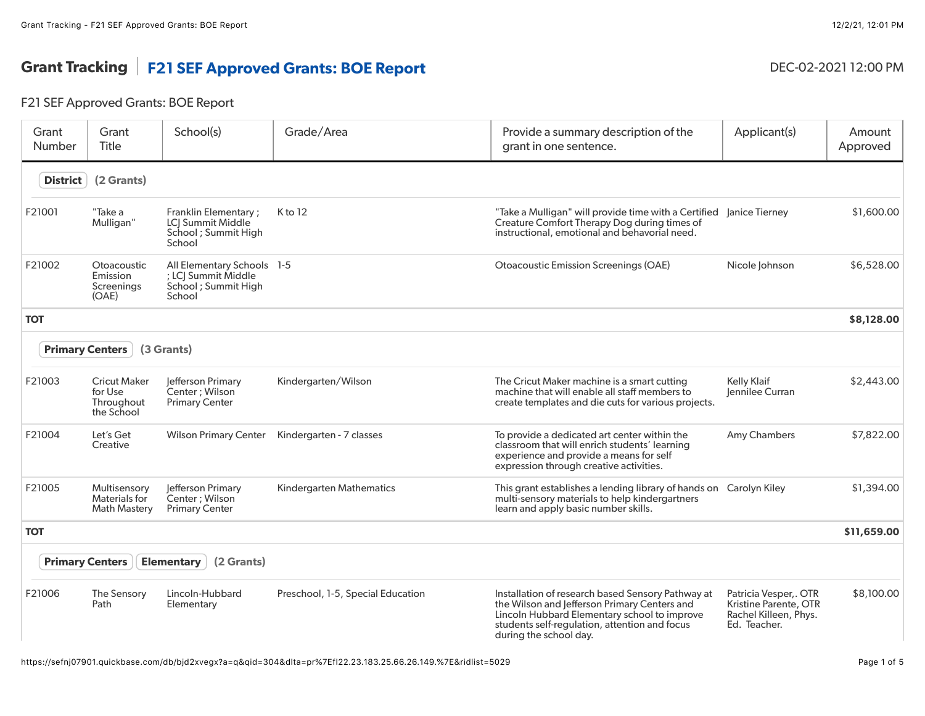## Grant Tracking | F21 SEF Approved Grants: BOE Report DEC-02-2021 12:00 PM

## F21 SEF Approved Grants: BOE Report

| Grant<br>Number                                           | Grant<br><b>Title</b>                                      | School(s)                                                                           | Grade/Area                        | Provide a summary description of the<br>grant in one sentence.                                                                                                                                                               | Applicant(s)                                                                            | Amount<br>Approved |
|-----------------------------------------------------------|------------------------------------------------------------|-------------------------------------------------------------------------------------|-----------------------------------|------------------------------------------------------------------------------------------------------------------------------------------------------------------------------------------------------------------------------|-----------------------------------------------------------------------------------------|--------------------|
| <b>District</b>                                           | (2 Grants)                                                 |                                                                                     |                                   |                                                                                                                                                                                                                              |                                                                                         |                    |
| F21001                                                    | "Take a<br>Mulligan"                                       | Franklin Elementary;<br>LCI Summit Middle<br>School ; Summit High<br>School         | K to 12                           | "Take a Mulligan" will provide time with a Certified Janice Tierney<br>Creature Comfort Therapy Dog during times of<br>instructional, emotional and behavorial need.                                                         |                                                                                         | \$1,600.00         |
| F21002                                                    | Otoacoustic<br>Emission<br>Screenings<br>(OAE)             | All Elementary Schools 1-5<br>; LCJ Summit Middle<br>School ; Summit High<br>School |                                   | <b>Otoacoustic Emission Screenings (OAE)</b>                                                                                                                                                                                 | Nicole Johnson                                                                          | \$6,528.00         |
| <b>TOT</b>                                                |                                                            |                                                                                     |                                   |                                                                                                                                                                                                                              |                                                                                         | \$8,128.00         |
|                                                           | <b>Primary Centers</b>                                     | (3 Grants)                                                                          |                                   |                                                                                                                                                                                                                              |                                                                                         |                    |
| F21003                                                    | <b>Cricut Maker</b><br>for Use<br>Throughout<br>the School | Jefferson Primary<br>Center ; Wilson<br><b>Primary Center</b>                       | Kindergarten/Wilson               | The Cricut Maker machine is a smart cutting<br>machine that will enable all staff members to<br>create templates and die cuts for various projects.                                                                          | <b>Kelly Klaif</b><br>Jennilee Curran                                                   | \$2,443.00         |
| F21004                                                    | Let's Get<br>Creative                                      | <b>Wilson Primary Center</b>                                                        | Kindergarten - 7 classes          | To provide a dedicated art center within the<br>classroom that will enrich students' learning<br>experience and provide a means for self<br>expression through creative activities.                                          | Amy Chambers                                                                            | \$7,822.00         |
| F21005                                                    | Multisensory<br>Materials for<br><b>Math Mastery</b>       | lefferson Primary<br>Center: Wilson<br><b>Primary Center</b>                        | Kindergarten Mathematics          | This grant establishes a lending library of hands on Carolyn Kiley<br>multi-sensory materials to help kindergartners<br>learn and apply basic number skills.                                                                 |                                                                                         | \$1,394.00         |
| <b>TOT</b>                                                |                                                            |                                                                                     |                                   |                                                                                                                                                                                                                              |                                                                                         | \$11,659.00        |
| <b>Primary Centers</b><br>(2 Grants)<br><b>Elementary</b> |                                                            |                                                                                     |                                   |                                                                                                                                                                                                                              |                                                                                         |                    |
| F21006                                                    | The Sensory<br>Path                                        | Lincoln-Hubbard<br>Elementary                                                       | Preschool, 1-5, Special Education | Installation of research based Sensory Pathway at<br>the Wilson and Jefferson Primary Centers and<br>Lincoln Hubbard Elementary school to improve<br>students self-regulation, attention and focus<br>during the school day. | Patricia Vesper,. OTR<br>Kristine Parente, OTR<br>Rachel Killeen, Phys.<br>Ed. Teacher. | \$8,100.00         |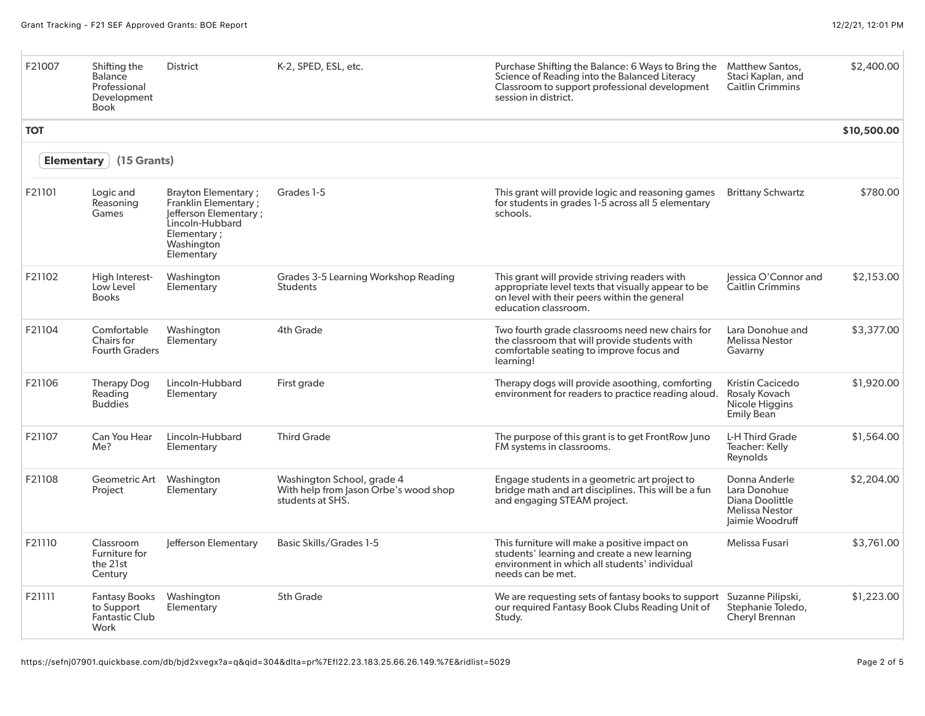| F21007     | Shifting the<br><b>Balance</b><br>Professional<br>Development<br>Book | District                                                                                                                                          | K-2, SPED, ESL, etc.                                                                    | Purchase Shifting the Balance: 6 Ways to Bring the<br>Science of Reading into the Balanced Literacy<br>Classroom to support professional development<br>session in district. | Matthew Santos,<br>Staci Kaplan, and<br><b>Caitlin Crimmins</b>                              | \$2,400.00  |
|------------|-----------------------------------------------------------------------|---------------------------------------------------------------------------------------------------------------------------------------------------|-----------------------------------------------------------------------------------------|------------------------------------------------------------------------------------------------------------------------------------------------------------------------------|----------------------------------------------------------------------------------------------|-------------|
| <b>TOT</b> |                                                                       |                                                                                                                                                   |                                                                                         |                                                                                                                                                                              |                                                                                              | \$10,500.00 |
|            | (15 Grants)<br><b>Elementary</b>                                      |                                                                                                                                                   |                                                                                         |                                                                                                                                                                              |                                                                                              |             |
| F21101     | Logic and<br>Reasoning<br>Games                                       | <b>Brayton Elementary;</b><br><b>Franklin Elementary;</b><br>Jefferson Elementary;<br>Lincoln-Hubbard<br>Elementary ;<br>Washington<br>Elementary | Grades 1-5                                                                              | This grant will provide logic and reasoning games<br>for students in grades 1-5 across all 5 elementary<br>schools.                                                          | <b>Brittany Schwartz</b>                                                                     | \$780.00    |
| F21102     | High Interest-<br>Low Level<br><b>Books</b>                           | Washington<br>Elementary                                                                                                                          | Grades 3-5 Learning Workshop Reading<br><b>Students</b>                                 | This grant will provide striving readers with<br>appropriate level texts that visually appear to be<br>on level with their peers within the general<br>education classroom.  | lessica O'Connor and<br>Caitlin Crimmins                                                     | \$2,153.00  |
| F21104     | Comfortable<br>Chairs for<br><b>Fourth Graders</b>                    | Washington<br>Elementary                                                                                                                          | <b>4th Grade</b>                                                                        | Two fourth grade classrooms need new chairs for<br>the classroom that will provide students with<br>comfortable seating to improve focus and<br>learning!                    | Lara Donohue and<br><b>Melissa Nestor</b><br>Gavarny                                         | \$3,377.00  |
| F21106     | Therapy Dog<br>Reading<br><b>Buddies</b>                              | Lincoln-Hubbard<br>Elementary                                                                                                                     | First grade                                                                             | Therapy dogs will provide asoothing, comforting<br>environment for readers to practice reading aloud.                                                                        | Kristin Cacicedo<br>Rosaly Kovach<br>Nicole Higgins<br><b>Emily Bean</b>                     | \$1,920.00  |
| F21107     | Can You Hear<br>Me?                                                   | Lincoln-Hubbard<br>Elementary                                                                                                                     | <b>Third Grade</b>                                                                      | The purpose of this grant is to get Front Row Juno<br>FM systems in classrooms.                                                                                              | L-H Third Grade<br>Teacher: Kelly<br>Reynolds                                                | \$1,564.00  |
| F21108     | Geometric Art<br>Project                                              | Washington<br>Elementary                                                                                                                          | Washington School, grade 4<br>With help from Jason Orbe's wood shop<br>students at SHS. | Engage students in a geometric art project to<br>bridge math and art disciplines. This will be a fun<br>and engaging STEAM project.                                          | Donna Anderle<br>Lara Donohue<br>Diana Doolittle<br><b>Melissa Nestor</b><br>Jaimie Woodruff | \$2,204.00  |
| F21110     | Classroom<br>Furniture for<br>the 21st<br>Century                     | lefferson Elementary                                                                                                                              | <b>Basic Skills/Grades 1-5</b>                                                          | This furniture will make a positive impact on<br>students' learning and create a new learning<br>environment in which all students' individual<br>needs can be met.          | Melissa Fusari                                                                               | \$3,761.00  |
| F21111     | <b>Fantasy Books</b><br>to Support<br><b>Fantastic Club</b><br>Work   | Washington<br>Elementary                                                                                                                          | 5th Grade                                                                               | We are requesting sets of fantasy books to support<br>our required Fantasy Book Clubs Reading Unit of<br>Study.                                                              | Suzanne Pilipski,<br>Stephanie Toledo,<br>Cheryl Brennan                                     | \$1,223.00  |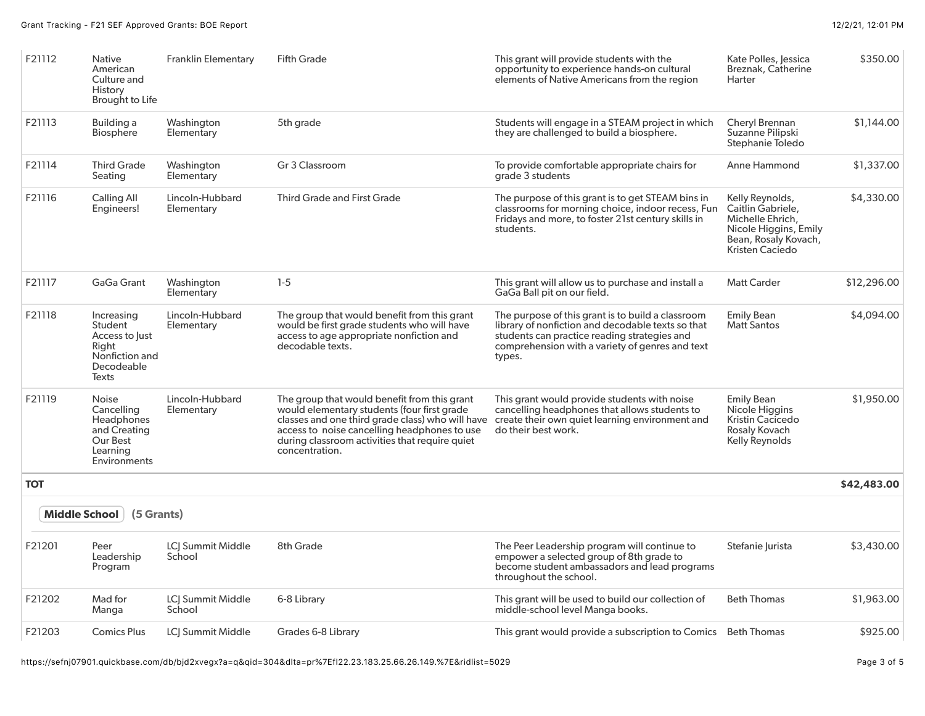| F21112               | <b>Native</b><br>American<br>Culture and<br>History<br>Brought to Life                           | <b>Franklin Elementary</b>         | <b>Fifth Grade</b>                                                                                                                                                                                                                                                  | This grant will provide students with the<br>opportunity to experience hands-on cultural<br>elements of Native Americans from the region                                                                            | Kate Polles, Jessica<br>Breznak, Catherine<br>Harter                                                                         | \$350.00    |
|----------------------|--------------------------------------------------------------------------------------------------|------------------------------------|---------------------------------------------------------------------------------------------------------------------------------------------------------------------------------------------------------------------------------------------------------------------|---------------------------------------------------------------------------------------------------------------------------------------------------------------------------------------------------------------------|------------------------------------------------------------------------------------------------------------------------------|-------------|
| F21113               | Building a<br><b>Biosphere</b>                                                                   | Washington<br>Elementary           | 5th grade                                                                                                                                                                                                                                                           | Students will engage in a STEAM project in which<br>they are challenged to build a biosphere.                                                                                                                       | Cheryl Brennan<br>Suzanne Pilipski<br>Stephanie Toledo                                                                       | \$1,144.00  |
| F21114               | <b>Third Grade</b><br>Seating                                                                    | Washington<br>Elementary           | Gr 3 Classroom                                                                                                                                                                                                                                                      | To provide comfortable appropriate chairs for<br>grade 3 students                                                                                                                                                   | Anne Hammond                                                                                                                 | \$1,337.00  |
| F21116               | Calling All<br>Engineers!                                                                        | Lincoln-Hubbard<br>Elementary      | <b>Third Grade and First Grade</b>                                                                                                                                                                                                                                  | The purpose of this grant is to get STEAM bins in<br>classrooms for morning choice, indoor recess, Fun<br>Fridays and more, to foster 21st century skills in<br>students.                                           | Kelly Reynolds,<br>Caitlin Gabriele.<br>Michelle Ehrich,<br>Nicole Higgins, Emily<br>Bean, Rosaly Kovach,<br>Kristen Caciedo | \$4,330.00  |
| F21117               | GaGa Grant                                                                                       | Washington<br>Elementary           | $1-5$                                                                                                                                                                                                                                                               | This grant will allow us to purchase and install a<br>GaGa Ball pit on our field.                                                                                                                                   | <b>Matt Carder</b>                                                                                                           | \$12,296.00 |
| F21118               | Increasing<br>Student<br>Access to Just<br>Right<br>Nonfiction and<br>Decodeable<br>Texts        | Lincoln-Hubbard<br>Elementary      | The group that would benefit from this grant<br>would be first grade students who will have<br>access to age appropriate nonfiction and<br>decodable texts.                                                                                                         | The purpose of this grant is to build a classroom<br>library of nonfiction and decodable texts so that<br>students can practice reading strategies and<br>comprehension with a variety of genres and text<br>types. | <b>Emily Bean</b><br>Matt Santos                                                                                             | \$4,094.00  |
| F21119               | <b>Noise</b><br>Cancelling<br>Headphones<br>and Creating<br>Our Best<br>Learning<br>Environments | Lincoln-Hubbard<br>Elementary      | The group that would benefit from this grant<br>would elementary students (four first grade<br>classes and one third grade class) who will have<br>access to noise cancelling headphones to use<br>during classroom activities that require quiet<br>concentration. | This grant would provide students with noise<br>cancelling headphones that allows students to<br>create their own quiet learning environment and<br>do their best work.                                             | <b>Emily Bean</b><br>Nicole Higgins<br>Kristin Cacicedo<br>Rosaly Kovach<br>Kelly Reynolds                                   | \$1,950.00  |
| <b>TOT</b>           |                                                                                                  |                                    |                                                                                                                                                                                                                                                                     |                                                                                                                                                                                                                     |                                                                                                                              | \$42,483.00 |
| <b>Middle School</b> | (5 Grants)                                                                                       |                                    |                                                                                                                                                                                                                                                                     |                                                                                                                                                                                                                     |                                                                                                                              |             |
| F21201               | Peer<br>Leadership<br>Program                                                                    | LCJ Summit Middle<br>School        | 8th Grade                                                                                                                                                                                                                                                           | The Peer Leadership program will continue to<br>empower a selected group of 8th grade to<br>become student ambassadors and lead programs<br>throughout the school.                                                  | Stefanie Jurista                                                                                                             | \$3,430.00  |
| F21202               | Mad for<br>Manga                                                                                 | <b>LCI Summit Middle</b><br>School | 6-8 Library                                                                                                                                                                                                                                                         | This grant will be used to build our collection of<br>middle-school level Manga books.                                                                                                                              | <b>Beth Thomas</b>                                                                                                           | \$1,963.00  |
| F21203               | <b>Comics Plus</b>                                                                               | LCJ Summit Middle                  | Grades 6-8 Library                                                                                                                                                                                                                                                  | This grant would provide a subscription to Comics Beth Thomas                                                                                                                                                       |                                                                                                                              | \$925.00    |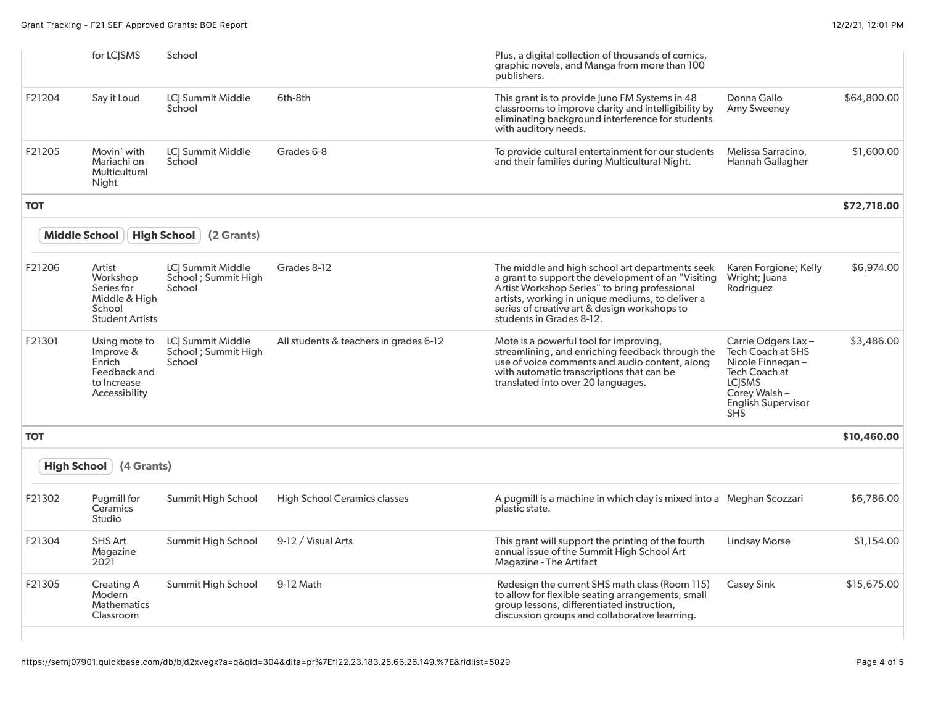|                      | for LC <sub>I</sub> SMS                                                               | School                                                     |                                        | Plus, a digital collection of thousands of comics,<br>graphic novels, and Manga from more than 100<br>publishers.                                                                                                                                                                       |                                                                                                                                                           |             |
|----------------------|---------------------------------------------------------------------------------------|------------------------------------------------------------|----------------------------------------|-----------------------------------------------------------------------------------------------------------------------------------------------------------------------------------------------------------------------------------------------------------------------------------------|-----------------------------------------------------------------------------------------------------------------------------------------------------------|-------------|
| F21204               | Say it Loud                                                                           | LCJ Summit Middle<br>School                                | 6th-8th                                | This grant is to provide Juno FM Systems in 48<br>classrooms to improve clarity and intelligibility by<br>eliminating background interference for students<br>with auditory needs.                                                                                                      | Donna Gallo<br>Amy Sweeney                                                                                                                                | \$64,800.00 |
| F21205               | Movin' with<br>Mariachi on<br>Multicultural<br>Night                                  | <b>LCI Summit Middle</b><br>School                         | Grades 6-8                             | To provide cultural entertainment for our students<br>and their families during Multicultural Night.                                                                                                                                                                                    | Melissa Sarracino,<br>Hannah Gallagher                                                                                                                    | \$1,600.00  |
| <b>TOT</b>           |                                                                                       |                                                            |                                        |                                                                                                                                                                                                                                                                                         |                                                                                                                                                           | \$72,718.00 |
| <b>Middle School</b> |                                                                                       | <b>High School</b><br>(2 Grants)                           |                                        |                                                                                                                                                                                                                                                                                         |                                                                                                                                                           |             |
| F21206               | Artist<br>Workshop<br>Series for<br>Middle & High<br>School<br><b>Student Artists</b> | <b>LCI Summit Middle</b><br>School ; Summit High<br>School | Grades 8-12                            | The middle and high school art departments seek<br>a grant to support the development of an "Visiting"<br>Artist Workshop Series" to bring professional<br>artists, working in unique mediums, to deliver a<br>series of creative art & design workshops to<br>students in Grades 8-12. | Karen Forgione; Kelly<br>Wright; Juana<br>Rodriguez                                                                                                       | \$6,974.00  |
| F21301               | Using mote to<br>Improve &<br>Enrich<br>Feedback and<br>to Increase<br>Accessibility  | LCI Summit Middle<br>School; Summit High<br>School         | All students & teachers in grades 6-12 | Mote is a powerful tool for improving,<br>streamlining, and enriching feedback through the<br>use of voice comments and audio content, along<br>with automatic transcriptions that can be<br>translated into over 20 languages.                                                         | Carrie Odgers Lax-<br><b>Tech Coach at SHS</b><br>Nicole Finnegan-<br>Tech Coach at<br><b>LCISMS</b><br>Corey Walsh -<br>English Supervisor<br><b>SHS</b> | \$3,486.00  |
| <b>TOT</b>           |                                                                                       |                                                            |                                        |                                                                                                                                                                                                                                                                                         |                                                                                                                                                           | \$10,460.00 |
| <b>High School</b>   | (4 Grants)                                                                            |                                                            |                                        |                                                                                                                                                                                                                                                                                         |                                                                                                                                                           |             |
| F21302               | Pugmill for<br>Ceramics<br><b>Studio</b>                                              | Summit High School                                         | <b>High School Ceramics classes</b>    | A pugmill is a machine in which clay is mixed into a Meghan Scozzari<br>plastic state.                                                                                                                                                                                                  |                                                                                                                                                           | \$6,786.00  |
| F21304               | <b>SHS Art</b><br>Magazine<br>2021                                                    | Summit High School                                         | 9-12 / Visual Arts                     | This grant will support the printing of the fourth<br>annual issue of the Summit High School Art<br><b>Magazine - The Artifact</b>                                                                                                                                                      | <b>Lindsay Morse</b>                                                                                                                                      | \$1,154.00  |
| F21305               | Creating A<br>Modern<br>Mathematics<br>Classroom                                      | Summit High School                                         | 9-12 Math                              | Redesign the current SHS math class (Room 115)<br>to allow for flexible seating arrangements, small<br>group lessons, differentiated instruction,<br>discussion groups and collaborative learning.                                                                                      | <b>Casey Sink</b>                                                                                                                                         | \$15,675.00 |